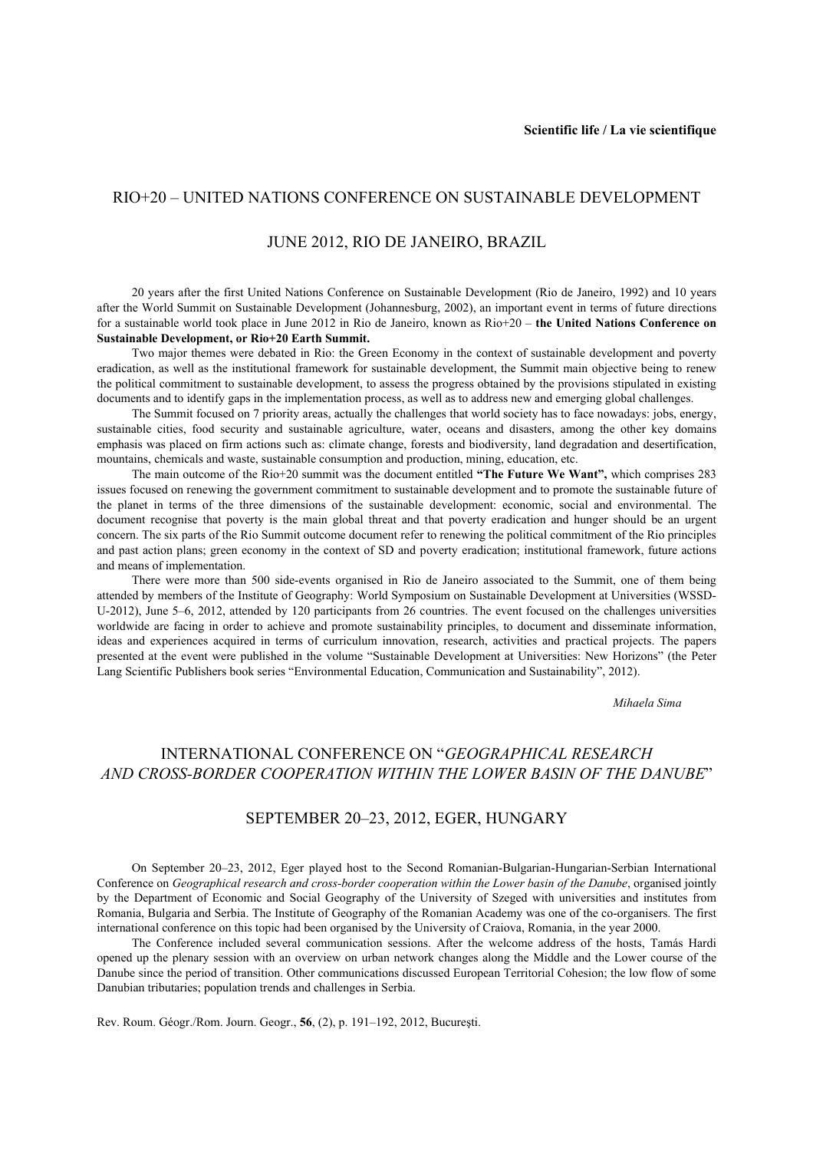## RIO+20 – UNITED NATIONS CONFERENCE ON SUSTAINABLE DEVELOPMENT

## JUNE 2012, RIO DE JANEIRO, BRAZIL

20 years after the first United Nations Conference on Sustainable Development (Rio de Janeiro, 1992) and 10 years after the World Summit on Sustainable Development (Johannesburg, 2002), an important event in terms of future directions for a sustainable world took place in June 2012 in Rio de Janeiro, known as Rio+20 – **the United Nations Conference on Sustainable Development, or Rio+20 Earth Summit.** 

Two major themes were debated in Rio: the Green Economy in the context of sustainable development and poverty eradication, as well as the institutional framework for sustainable development, the Summit main objective being to renew the political commitment to sustainable development, to assess the progress obtained by the provisions stipulated in existing documents and to identify gaps in the implementation process, as well as to address new and emerging global challenges.

The Summit focused on 7 priority areas, actually the challenges that world society has to face nowadays: jobs, energy, sustainable cities, food security and sustainable agriculture, water, oceans and disasters, among the other key domains emphasis was placed on firm actions such as: climate change, forests and biodiversity, land degradation and desertification, mountains, chemicals and waste, sustainable consumption and production, mining, education, etc.

The main outcome of the Rio+20 summit was the document entitled **"The Future We Want",** which comprises 283 issues focused on renewing the government commitment to sustainable development and to promote the sustainable future of the planet in terms of the three dimensions of the sustainable development: economic, social and environmental. The document recognise that poverty is the main global threat and that poverty eradication and hunger should be an urgent concern. The six parts of the Rio Summit outcome document refer to renewing the political commitment of the Rio principles and past action plans; green economy in the context of SD and poverty eradication; institutional framework, future actions and means of implementation.

There were more than 500 side-events organised in Rio de Janeiro associated to the Summit, one of them being attended by members of the Institute of Geography: World Symposium on Sustainable Development at Universities (WSSD-U-2012), June 5–6, 2012, attended by 120 participants from 26 countries. The event focused on the challenges universities worldwide are facing in order to achieve and promote sustainability principles, to document and disseminate information, ideas and experiences acquired in terms of curriculum innovation, research, activities and practical projects. The papers presented at the event were published in the volume "Sustainable Development at Universities: New Horizons" (the Peter Lang Scientific Publishers book series "Environmental Education, Communication and Sustainability", 2012).

*Mihaela Sima* 

## INTERNATIONAL CONFERENCE ON "*GEOGRAPHICAL RESEARCH AND CROSS-BORDER COOPERATION WITHIN THE LOWER BASIN OF THE DANUBE*"

## SEPTEMBER 20–23, 2012, EGER, HUNGARY

On September 20–23, 2012, Eger played host to the Second Romanian-Bulgarian-Hungarian-Serbian International Conference on *Geographical research and cross-border cooperation within the Lower basin of the Danube*, organised jointly by the Department of Economic and Social Geography of the University of Szeged with universities and institutes from Romania, Bulgaria and Serbia. The Institute of Geography of the Romanian Academy was one of the co-organisers. The first international conference on this topic had been organised by the University of Craiova, Romania, in the year 2000.

The Conference included several communication sessions. After the welcome address of the hosts, Tamás Hardi opened up the plenary session with an overview on urban network changes along the Middle and the Lower course of the Danube since the period of transition. Other communications discussed European Territorial Cohesion; the low flow of some Danubian tributaries; population trends and challenges in Serbia.

Rev. Roum. Géogr./Rom. Journ. Geogr., **56**, (2), p. 191–192, 2012, Bucureşti.